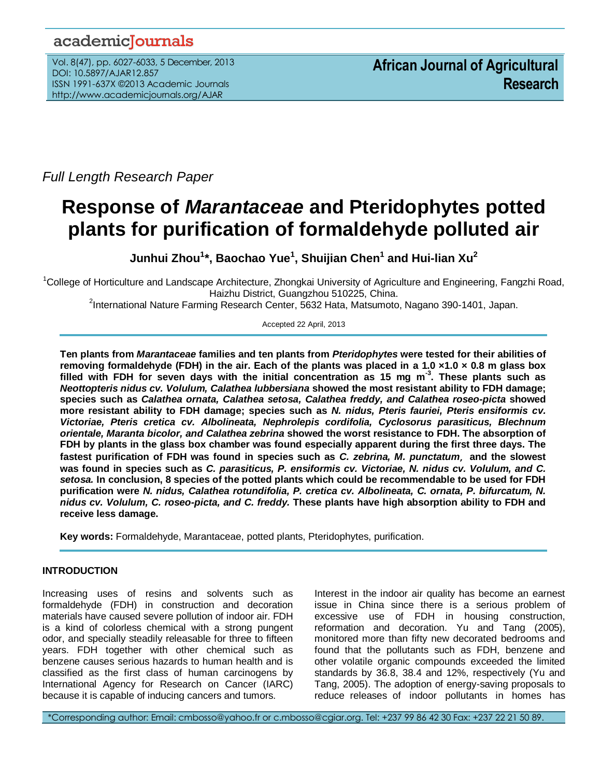# academicJournals

Vol. 8(47), pp. 6027-6033, 5 December, 2013 DOI: 10.5897/AJAR12.857 ISSN 1991-637X ©2013 Academic Journals http://www.academicjournals.org/AJAR

*Full Length Research Paper*

# **Response of** *Marantaceae* **and Pteridophytes potted plants for purification of formaldehyde polluted air**

**Junhui Zhou<sup>1</sup> \*, Baochao Yue<sup>1</sup> , Shuijian Chen<sup>1</sup> and Hui-lian Xu<sup>2</sup>**

<sup>1</sup>College of Horticulture and Landscape Architecture, Zhongkai University of Agriculture and Engineering, Fangzhi Road, Haizhu District, Guangzhou 510225, China.

2 International Nature Farming Research Center, 5632 Hata, Matsumoto, Nagano 390-1401, Japan.

### Accepted 22 April, 2013

**Ten plants from** *Marantaceae* **families and ten plants from** *Pteridophytes* **were tested for their abilities of removing formaldehyde (FDH) in the air. Each of the plants was placed in a 1.0 ×1.0 × 0.8 m glass box filled with FDH for seven days with the initial concentration as 15 mg m-3 . These plants such as** *Neottopteris nidus cv. Volulum, Calathea lubbersiana* **showed the most resistant ability to FDH damage; species such as** *Calathea ornata, Calathea setosa, Calathea freddy, and Calathea roseo-picta* **showed more resistant ability to FDH damage; species such as** *N. nidus, Pteris fauriei, Pteris ensiformis cv. Victoriae, Pteris cretica cv. Albolineata, Nephrolepis cordifolia, Cyclosorus parasiticus, Blechnum orientale, Maranta bicolor, and Calathea zebrina* **showed the worst resistance to FDH. The absorption of FDH by plants in the glass box chamber was found especially apparent during the first three days. The fastest purification of FDH was found in species such as** *C. zebrina, M. punctatum*,**and the slowest was found in species such as** *C. parasiticus, P. ensiformis cv. Victoriae, N. nidus cv. Volulum, and C. setosa.* **In conclusion, 8 species of the potted plants which could be recommendable to be used for FDH purification were** *N. nidus, Calathea rotundifolia, P. cretica cv. Albolineata, C. ornata, P. bifurcatum, N. nidus cv. Volulum, C. roseo-picta, and C. freddy.* **These plants have high absorption ability to FDH and receive less damage.**

**Key words:** Formaldehyde, Marantaceae, potted plants, Pteridophytes, purification.

# **INTRODUCTION**

Increasing uses of resins and solvents such as formaldehyde (FDH) in construction and decoration materials have caused severe pollution of indoor air. FDH is a kind of colorless chemical with a strong pungent odor, and specially steadily releasable for three to fifteen years. FDH together with other chemical such as benzene causes serious hazards to human health and is classified as the first class of human carcinogens by International Agency for Research on Cancer (IARC) because it is capable of inducing cancers and tumors.

Interest in the indoor air quality has become an earnest issue in China since there is a serious problem of excessive use of FDH in housing construction, reformation and decoration. Yu and Tang (2005), monitored more than fifty new decorated bedrooms and found that the pollutants such as FDH, benzene and other volatile organic compounds exceeded the limited standards by 36.8, 38.4 and 12%, respectively (Yu and Tang, 2005). The adoption of energy-saving proposals to reduce releases of indoor pollutants in homes has

\*Corresponding author: Email: cmbosso@yahoo.fr or c.mbosso@cgiar.org. Tel: +237 99 86 42 30 Fax: +237 22 21 50 89.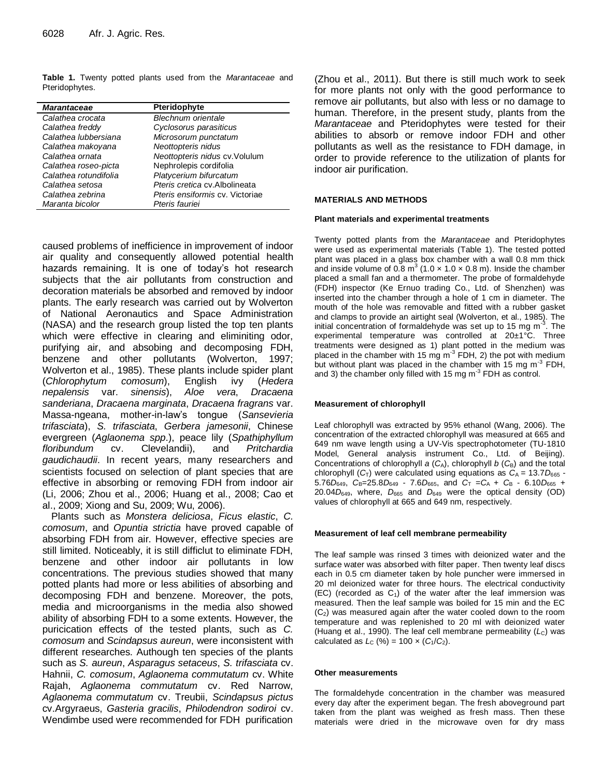**Table 1.** Twenty potted plants used from the *Marantaceae* and Pteridophytes.

| <b>Marantaceae</b>    | Pteridophyte                    |
|-----------------------|---------------------------------|
| Calathea crocata      | <b>Blechnum orientale</b>       |
| Calathea freddy       | Cyclosorus parasiticus          |
| Calathea lubbersiana  | Microsorum punctatum            |
| Calathea makoyana     | Neottopteris nidus              |
| Calathea ornata       | Neottopteris nidus cv. Volulum  |
| Calathea roseo-picta  | Nephrolepis cordifolia          |
| Calathea rotundifolia | Platycerium bifurcatum          |
| Calathea setosa       | Pteris cretica cv. Albolineata  |
| Calathea zebrina      | Pteris ensiformis cv. Victoriae |
| Maranta bicolor       | Pteris fauriei                  |

caused problems of inefficience in improvement of indoor air quality and consequently allowed potential health hazards remaining. It is one of today's hot research subjects that the air pollutants from construction and decoration materials be absorbed and removed by indoor plants. The early research was carried out by Wolverton of National Aeronautics and Space Administration (NASA) and the research group listed the top ten plants which were effective in clearing and eliminiting odor, purifying air, and absobing and decomposing FDH, benzene and other pollutants (Wolverton, 1997; Wolverton et al., 1985). These plants include spider plant (*Chlorophytum comosum*), English ivy (*Hedera nepalensis* var. *sinensis*), *Aloe vera*, *Dracaena sanderiana*, *Dracaena marginata*, *Dracaena fragrans* var. Massa-ngeana, mother-in-law's tongue (*Sansevieria trifasciata*), *S. trifasciata*, *Gerbera jamesonii*, Chinese evergreen (*Aglaonema spp*.), peace lily (*Spathiphyllum floribundum* cv. Clevelandii), and *Pritchardia gaudichaudii*. In recent years, many researchers and scientists focused on selection of plant species that are effective in absorbing or removing FDH from indoor air (Li, 2006; Zhou et al., 2006; Huang et al., 2008; Cao et al., 2009; Xiong and Su, 2009; Wu, 2006).

Plants such as *Monstera deliciosa*, *Ficus elastic*, *C. comosum*, and *Opuntia strictia* have proved capable of absorbing FDH from air. However, effective species are still limited. Noticeably, it is still difficlut to eliminate FDH, benzene and other indoor air pollutants in low concentrations. The previous studies showed that many potted plants had more or less abilities of absorbing and decomposing FDH and benzene. Moreover, the pots, media and microorganisms in the media also showed ability of absorbing FDH to a some extents. However, the puricication effects of the tested plants, such as *C. comosum* and *Scindapsus aureun*, were inconsistent with different researches. Authough ten species of the plants such as *S. aureun*, *Asparagus setaceus*, *S. trifasciata* cv. Hahnii, *C. comosum*, *Aglaonema commutatum* cv. White Rajah, *Aglaonema commutatum* cv. Red Narrow, *Aglaonema commutatum* cv. Treubii, *Scindapsus pictus*  cv.Argyraeus, *Gasteria gracilis*, *Philodendron sodiroi* cv. Wendimbe used were recommended for FDH purification

(Zhou et al., 2011). But there is still much work to seek for more plants not only with the good performance to remove air pollutants, but also with less or no damage to human. Therefore, in the present study, plants from the *Marantaceae* and Pteridophytes were tested for their abilities to absorb or remove indoor FDH and other pollutants as well as the resistance to FDH damage, in order to provide reference to the utilization of plants for indoor air purification.

#### **MATERIALS AND METHODS**

#### **Plant materials and experimental treatments**

Twenty potted plants from the *Marantaceae* and Pteridophytes were used as experimental materials (Table 1). The tested potted plant was placed in a glass box chamber with a wall 0.8 mm thick and inside volume of 0.8  $m^3$  (1.0  $\times$  1.0  $\times$  0.8 m). Inside the chamber placed a small fan and a thermometer. The probe of formaldehyde (FDH) inspector (Ke Ernuo trading Co., Ltd. of Shenzhen) was inserted into the chamber through a hole of 1 cm in diameter. The mouth of the hole was removable and fitted with a rubber gasket and clamps to provide an airtight seal (Wolverton, et al., 1985). The initial concentration of formaldehyde was set up to 15 mg m<sup>-3</sup>. The experimental temperature was controlled at 20±1°C. Three treatments were designed as 1) plant potted in the medium was placed in the chamber with 15 mg m<sup>-3</sup> FDH, 2) the pot with medium but without plant was placed in the chamber with 15 mg m<sup>-3</sup> FDH, and 3) the chamber only filled with 15 mg m<sup>-3</sup> FDH as control.

#### **Measurement of chlorophyll**

Leaf chlorophyll was extracted by 95% ethanol (Wang, 2006). The concentration of the extracted chlorophyll was measured at 665 and 649 nm wave length using a UV-Vis spectrophotometer (TU-1810 Model, General analysis instrument Co., Ltd. of Beijing). Concentrations of chlorophyll  $a$  ( $C_A$ ), chlorophyll  $b$  ( $C_B$ ) and the total chlorophyll  $(C_T)$  were calculated using equations as  $C_A = 13.7D_{665}$  -5.76 $D_{649}$ ,  $C_{B}$ =25.8 $D_{649}$  - 7.6 $D_{665}$ , and  $C_{T}$  = $C_{A}$  +  $C_{B}$  - 6.10 $D_{665}$  +  $20.04D_{649}$ , where,  $D_{665}$  and  $D_{649}$  were the optical density (OD) values of chlorophyll at 665 and 649 nm, respectively.

#### **Measurement of leaf cell membrane permeability**

The leaf sample was rinsed 3 times with deionized water and the surface water was absorbed with filter paper. Then twenty leaf discs each in 0.5 cm diameter taken by hole puncher were immersed in 20 ml deionized water for three hours. The electrical conductivity (EC) (recorded as  $C_1$ ) of the water after the leaf immersion was measured. Then the leaf sample was boiled for 15 min and the EC  $(C<sub>2</sub>)$  was measured again after the water cooled down to the room temperature and was replenished to 20 ml with deionized water (Huang et al., 1990). The leaf cell membrane permeability (L<sub>C</sub>) was calculated as  $L_c$  (%) = 100  $\times$  ( $C_1/C_2$ ).

#### **Other measurements**

The formaldehyde concentration in the chamber was measured every day after the experiment began. The fresh aboveground part taken from the plant was weighed as fresh mass. Then these materials were dried in the microwave oven for dry mass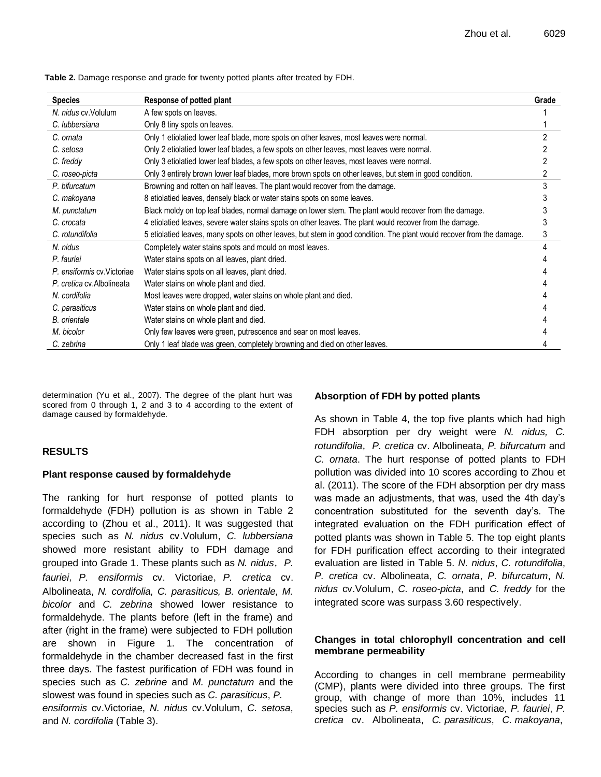| <b>Species</b>              | Response of potted plant                                                                                              | Grade |
|-----------------------------|-----------------------------------------------------------------------------------------------------------------------|-------|
| N. nidus cv. Volulum        | A few spots on leaves.                                                                                                |       |
| C. lubbersiana              | Only 8 tiny spots on leaves.                                                                                          |       |
| C. ornata                   | Only 1 etiolatied lower leaf blade, more spots on other leaves, most leaves were normal.                              |       |
| C. setosa                   | Only 2 etiolatied lower leaf blades, a few spots on other leaves, most leaves were normal.                            |       |
| C. freddy                   | Only 3 etiolatied lower leaf blades, a few spots on other leaves, most leaves were normal.                            |       |
| C. roseo-picta              | Only 3 entirely brown lower leaf blades, more brown spots on other leaves, but stem in good condition.                |       |
| P. bifurcatum               | Browning and rotten on half leaves. The plant would recover from the damage.                                          |       |
| C. makoyana                 | 8 etiolatied leaves, densely black or water stains spots on some leaves.                                              |       |
| M. punctatum                | Black moldy on top leaf blades, normal damage on lower stem. The plant would recover from the damage.                 |       |
| C. crocata                  | 4 etiolatied leaves, severe water stains spots on other leaves. The plant would recover from the damage.              |       |
| C. rotundifolia             | 5 etiolatied leaves, many spots on other leaves, but stem in good condition. The plant would recover from the damage. |       |
| N. nidus                    | Completely water stains spots and mould on most leaves.                                                               |       |
| P. fauriei                  | Water stains spots on all leaves, plant dried.                                                                        |       |
| P. ensiformis cv. Victoriae | Water stains spots on all leaves, plant dried.                                                                        |       |
| P. cretica cv. Albolineata  | Water stains on whole plant and died.                                                                                 |       |
| N. cordifolia               | Most leaves were dropped, water stains on whole plant and died.                                                       |       |
| C. parasiticus              | Water stains on whole plant and died.                                                                                 |       |
| <b>B.</b> orientale         | Water stains on whole plant and died.                                                                                 |       |
| M. bicolor                  | Only few leaves were green, putrescence and sear on most leaves.                                                      |       |
| C. zebrina                  | Only 1 leaf blade was green, completely browning and died on other leaves.                                            |       |

**Table 2.** Damage response and grade for twenty potted plants after treated by FDH.

determination (Yu et al., 2007). The degree of the plant hurt was scored from 0 through 1, 2 and 3 to 4 according to the extent of damage caused by formaldehyde.

# **RESULTS**

# **Plant response caused by formaldehyde**

The ranking for hurt response of potted plants to formaldehyde (FDH) pollution is as shown in Table 2 according to (Zhou et al., 2011). It was suggested that species such as *N. nidus* cv.Volulum, *C. lubbersiana* showed more resistant ability to FDH damage and grouped into Grade 1. These plants such as *N. nidus*,*P. fauriei*,*P. ensiformis* cv. Victoriae,*P. cretica* cv. Albolineata, *N. cordifolia, C. parasiticus, B. orientale, M. bicolor* and *C. zebrina* showed lower resistance to formaldehyde. The plants before (left in the frame) and after (right in the frame) were subjected to FDH pollution are shown in Figure 1. The concentration of formaldehyde in the chamber decreased fast in the first three days. The fastest purification of FDH was found in species such as *C. zebrine* and *M. punctatum* and the slowest was found in species such as *C. parasiticus*, *P. ensiformis* cv.Victoriae, *N. nidus* cv.Volulum, *C. setosa*, and *N. cordifolia* (Table 3).

# **Absorption of FDH by potted plants**

As shown in Table 4, the top five plants which had high FDH absorption per dry weight were *N. nidus, C. rotundifolia*,*P. cretica* cv. Albolineata, *P. bifurcatum* and *C. ornata*. The hurt response of potted plants to FDH pollution was divided into 10 scores according to Zhou et al. (2011). The score of the FDH absorption per dry mass was made an adjustments, that was, used the 4th day's concentration substituted for the seventh day's. The integrated evaluation on the FDH purification effect of potted plants was shown in Table 5. The top eight plants for FDH purification effect according to their integrated evaluation are listed in Table 5. *N. nidus*, *C. rotundifolia*, *P. cretica* cv. Albolineata, *C. ornata*, *P. bifurcatum*, *N. nidus* cv.Volulum, *C. roseo-picta*, and *C. freddy* for the integrated score was surpass 3.60 respectively.

# **Changes in total chlorophyll concentration and cell membrane permeability**

According to changes in cell membrane permeability (CMP), plants were divided into three groups. The first group, with change of more than 10%, includes 11 species such as *P. ensiformis* cv. Victoriae, *P. fauriei*, *P. cretica* cv. Albolineata, *C. parasiticus*, *C. makoyana*,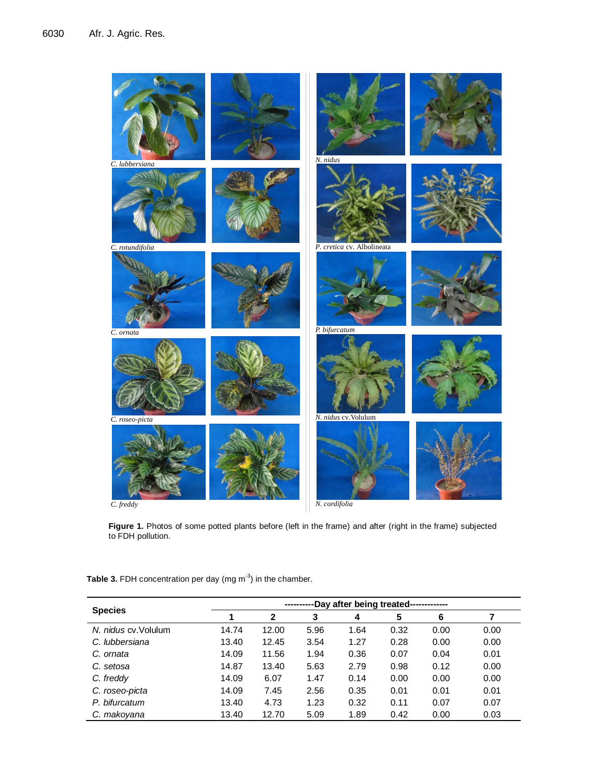

**Figure 1.** Photos of some potted plants before (left in the frame) and after (right in the frame) subjected to FDH pollution.

| <b>Species</b>       | -Day after being treated------------- |              |      |      |      |      |      |
|----------------------|---------------------------------------|--------------|------|------|------|------|------|
|                      |                                       | $\mathbf{2}$ | 3    | 4    | 5    | 6    |      |
| N. nidus cv. Volulum | 14.74                                 | 12.00        | 5.96 | 1.64 | 0.32 | 0.00 | 0.00 |
| C. lubbersiana       | 13.40                                 | 12.45        | 3.54 | 1.27 | 0.28 | 0.00 | 0.00 |
| C. ornata            | 14.09                                 | 11.56        | 1.94 | 0.36 | 0.07 | 0.04 | 0.01 |
| C. setosa            | 14.87                                 | 13.40        | 5.63 | 2.79 | 0.98 | 0.12 | 0.00 |
| C. freddy            | 14.09                                 | 6.07         | 1.47 | 0.14 | 0.00 | 0.00 | 0.00 |
| C. roseo-picta       | 14.09                                 | 7.45         | 2.56 | 0.35 | 0.01 | 0.01 | 0.01 |
| P. bifurcatum        | 13.40                                 | 4.73         | 1.23 | 0.32 | 0.11 | 0.07 | 0.07 |
| C. makoyana          | 13.40                                 | 12.70        | 5.09 | 1.89 | 0.42 | 0.00 | 0.03 |

Table 3. FDH concentration per day (mg m<sup>-3</sup>) in the chamber.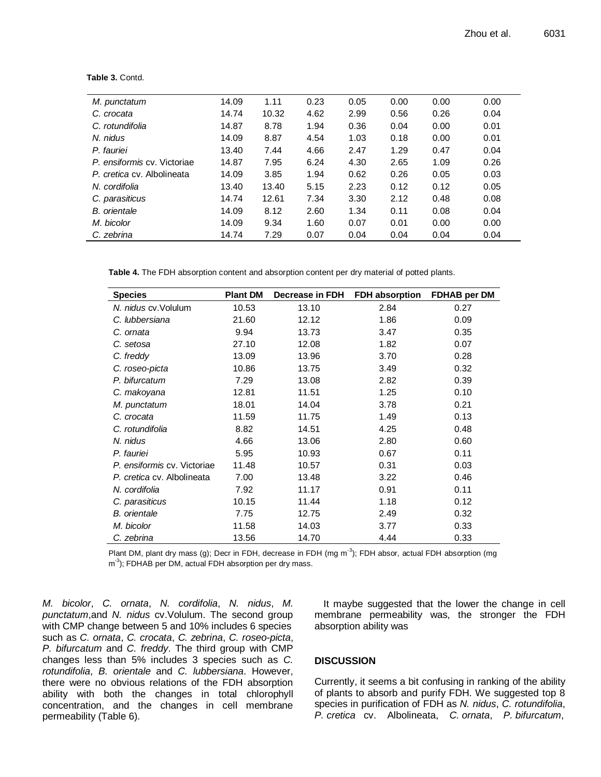| 0.00<br>0.00 |
|--------------|
|              |
| 0.26<br>0.04 |
| 0.00<br>0.01 |
| 0.00<br>0.01 |
| 0.04<br>0.47 |
| 0.26<br>1.09 |
| 0.05<br>0.03 |
| 0.12<br>0.05 |
| 0.08<br>0.48 |
| 0.08<br>0.04 |
| 0.00<br>0.00 |
| 0.04<br>0.04 |
|              |

**Table 3.** Contd.

**Table 4.** The FDH absorption content and absorption content per dry material of potted plants.

| <b>Species</b>              | <b>Plant DM</b> | Decrease in FDH | <b>FDH absorption</b> | FDHAB per DM |
|-----------------------------|-----------------|-----------------|-----------------------|--------------|
| N. nidus cv. Volulum        | 10.53           | 13.10           | 2.84                  | 0.27         |
| C. lubbersiana              | 21.60           | 12.12           | 1.86                  | 0.09         |
| C. ornata                   | 9.94            | 13.73           | 3.47                  | 0.35         |
| C. setosa                   | 27.10           | 12.08           | 1.82                  | 0.07         |
| C. freddy                   | 13.09           | 13.96           | 3.70                  | 0.28         |
| C. roseo-picta              | 10.86           | 13.75           | 3.49                  | 0.32         |
| P. bifurcatum               | 7.29            | 13.08           | 2.82                  | 0.39         |
| C. makoyana                 | 12.81           | 11.51           | 1.25                  | 0.10         |
| M. punctatum                | 18.01           | 14.04           | 3.78                  | 0.21         |
| C. crocata                  | 11.59           | 11.75           | 1.49                  | 0.13         |
| C. rotundifolia             | 8.82            | 14.51           | 4.25                  | 0.48         |
| N. nidus                    | 4.66            | 13.06           | 2.80                  | 0.60         |
| P. fauriei                  | 5.95            | 10.93           | 0.67                  | 0.11         |
| P. ensiformis cv. Victoriae | 11.48           | 10.57           | 0.31                  | 0.03         |
| P. cretica cv. Albolineata  | 7.00            | 13.48           | 3.22                  | 0.46         |
| N. cordifolia               | 7.92            | 11.17           | 0.91                  | 0.11         |
| C. parasiticus              | 10.15           | 11.44           | 1.18                  | 0.12         |
| <b>B.</b> orientale         | 7.75            | 12.75           | 2.49                  | 0.32         |
| M. bicolor                  | 11.58           | 14.03           | 3.77                  | 0.33         |
| C. zebrina                  | 13.56           | 14.70           | 4.44                  | 0.33         |

Plant DM, plant dry mass (g); Decr in FDH, decrease in FDH (mg m<sup>-3</sup>); FDH absor, actual FDH absorption (mg m<sup>-3</sup>); FDHAB per DM, actual FDH absorption per dry mass.

*M. bicolor*, *C. ornata*, *N. cordifolia*, *N. nidus*, *M. punctatum*,and *N. nidus* cv.Volulum. The second group with CMP change between 5 and 10% includes 6 species such as *C. ornata*, *C. crocata*, *C. zebrina*, *C. roseo-picta*, *P. bifurcatum* and *C. freddy*. The third group with CMP changes less than 5% includes 3 species such as *C. rotundifolia*, *B. orientale* and *C. lubbersiana*. However, there were no obvious relations of the FDH absorption ability with both the changes in total chlorophyll concentration, and the changes in cell membrane permeability (Table 6).

It maybe suggested that the lower the change in cell membrane permeability was, the stronger the FDH absorption ability was

# **DISCUSSION**

Currently, it seems a bit confusing in ranking of the ability of plants to absorb and purify FDH. We suggested top 8 species in purification of FDH as *N. nidus*, *C. rotundifolia*, *P. cretica* cv. Albolineata, *C. ornata*, *P. bifurcatum*,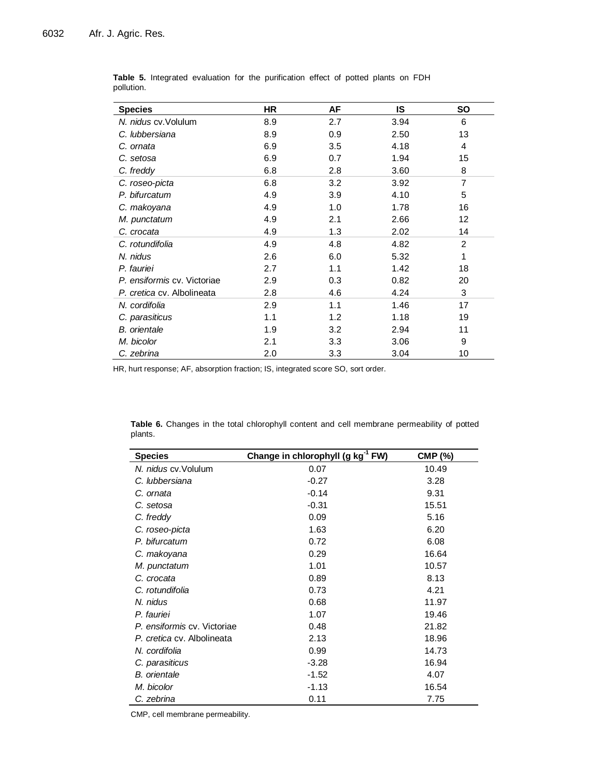| <b>Species</b>              | <b>HR</b> | AF  | IS   | SO             |
|-----------------------------|-----------|-----|------|----------------|
| N. nidus cv. Volulum        | 8.9       | 2.7 | 3.94 | 6              |
| C. lubbersiana              | 8.9       | 0.9 | 2.50 | 13             |
| C. ornata                   | 6.9       | 3.5 | 4.18 | 4              |
| C. setosa                   | 6.9       | 0.7 | 1.94 | 15             |
| C. freddy                   | 6.8       | 2.8 | 3.60 | 8              |
| C. roseo-picta              | 6.8       | 3.2 | 3.92 | 7              |
| P. bifurcatum               | 4.9       | 3.9 | 4.10 | 5              |
| C. makoyana                 | 4.9       | 1.0 | 1.78 | 16             |
| M. punctatum                | 4.9       | 2.1 | 2.66 | 12             |
| C. crocata                  | 4.9       | 1.3 | 2.02 | 14             |
| C. rotundifolia             | 4.9       | 4.8 | 4.82 | $\overline{2}$ |
| N. nidus                    | 2.6       | 6.0 | 5.32 | 1              |
| P. fauriei                  | 2.7       | 1.1 | 1.42 | 18             |
| P. ensiformis cv. Victoriae | 2.9       | 0.3 | 0.82 | 20             |
| P. cretica cv. Albolineata  | 2.8       | 4.6 | 4.24 | 3              |
| N. cordifolia               | 2.9       | 1.1 | 1.46 | 17             |
| C. parasiticus              | 1.1       | 1.2 | 1.18 | 19             |
| <b>B.</b> orientale         | 1.9       | 3.2 | 2.94 | 11             |
| M. bicolor                  | 2.1       | 3.3 | 3.06 | 9              |
| C. zebrina                  | 2.0       | 3.3 | 3.04 | 10             |

**Table 5.** Integrated evaluation for the purification effect of potted plants on FDH pollution.

HR, hurt response; AF, absorption fraction; IS, integrated score SO, sort order.

**Table 6.** Changes in the total chlorophyll content and cell membrane permeability of potted plants.

| <b>Species</b>              | Change in chlorophyll (g kg <sup>-1</sup> FW) | <b>CMP (%)</b> |
|-----------------------------|-----------------------------------------------|----------------|
| N. nidus cv. Volulum        | 0.07                                          | 10.49          |
| C. lubbersiana              | $-0.27$                                       | 3.28           |
| C. ornata                   | $-0.14$                                       | 9.31           |
| C. setosa                   | $-0.31$                                       | 15.51          |
| C. freddy                   | 0.09                                          | 5.16           |
| C. roseo-picta              | 1.63                                          | 6.20           |
| P. bifurcatum               | 0.72                                          | 6.08           |
| C. makoyana                 | 0.29                                          | 16.64          |
| M. punctatum                | 1.01                                          | 10.57          |
| C. crocata                  | 0.89                                          | 8.13           |
| C. rotundifolia             | 0.73                                          | 4.21           |
| N. nidus                    | 0.68                                          | 11.97          |
| P. fauriei                  | 1.07                                          | 19.46          |
| P. ensiformis cv. Victoriae | 0.48                                          | 21.82          |
| P. cretica cv. Albolineata  | 2.13                                          | 18.96          |
| N. cordifolia               | 0.99                                          | 14.73          |
| C. parasiticus              | $-3.28$                                       | 16.94          |
| <b>B.</b> orientale         | $-1.52$                                       | 4.07           |
| M. bicolor                  | $-1.13$                                       | 16.54          |
| C. zebrina                  | 0.11                                          | 7.75           |

CMP, cell membrane permeability.